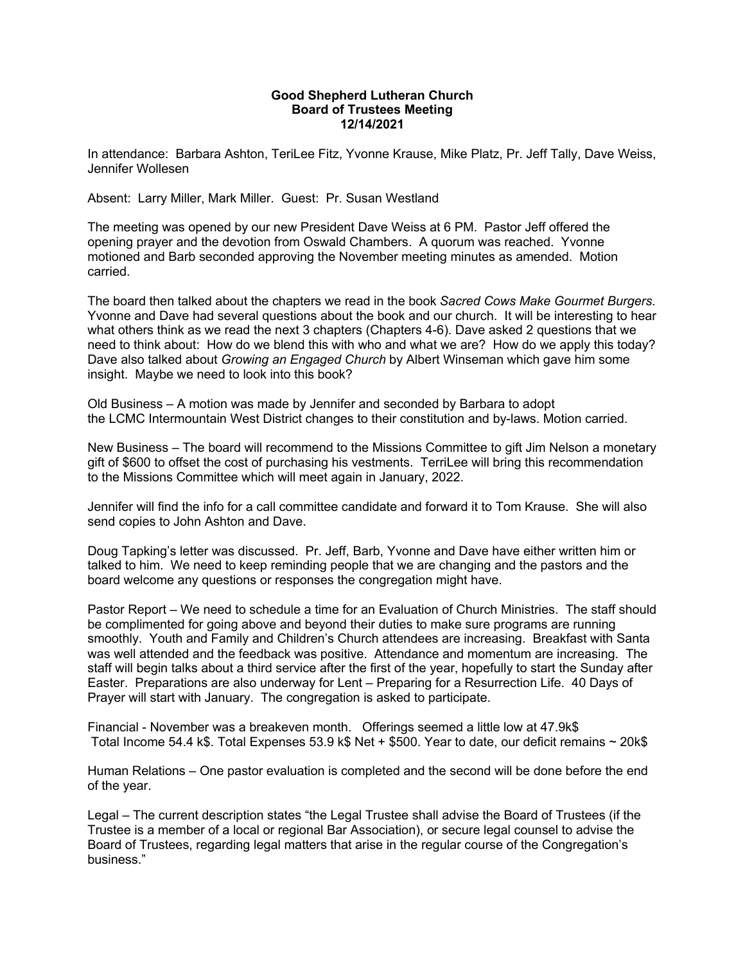## **Good Shepherd Lutheran Church Board of Trustees Meeting 12/14/2021**

In attendance: Barbara Ashton, TeriLee Fitz, Yvonne Krause, Mike Platz, Pr. Jeff Tally, Dave Weiss, Jennifer Wollesen

Absent: Larry Miller, Mark Miller. Guest: Pr. Susan Westland

The meeting was opened by our new President Dave Weiss at 6 PM. Pastor Jeff offered the opening prayer and the devotion from Oswald Chambers. A quorum was reached. Yvonne motioned and Barb seconded approving the November meeting minutes as amended. Motion carried.

The board then talked about the chapters we read in the book *Sacred Cows Make Gourmet Burgers*. Yvonne and Dave had several questions about the book and our church. It will be interesting to hear what others think as we read the next 3 chapters (Chapters 4-6). Dave asked 2 questions that we need to think about: How do we blend this with who and what we are? How do we apply this today? Dave also talked about *Growing an Engaged Church* by Albert Winseman which gave him some insight. Maybe we need to look into this book?

Old Business – A motion was made by Jennifer and seconded by Barbara to adopt the LCMC Intermountain West District changes to their constitution and by-laws. Motion carried.

New Business – The board will recommend to the Missions Committee to gift Jim Nelson a monetary gift of \$600 to offset the cost of purchasing his vestments. TerriLee will bring this recommendation to the Missions Committee which will meet again in January, 2022.

Jennifer will find the info for a call committee candidate and forward it to Tom Krause. She will also send copies to John Ashton and Dave.

Doug Tapking's letter was discussed. Pr. Jeff, Barb, Yvonne and Dave have either written him or talked to him. We need to keep reminding people that we are changing and the pastors and the board welcome any questions or responses the congregation might have.

Pastor Report – We need to schedule a time for an Evaluation of Church Ministries. The staff should be complimented for going above and beyond their duties to make sure programs are running smoothly. Youth and Family and Children's Church attendees are increasing. Breakfast with Santa was well attended and the feedback was positive. Attendance and momentum are increasing. The staff will begin talks about a third service after the first of the year, hopefully to start the Sunday after Easter. Preparations are also underway for Lent – Preparing for a Resurrection Life. 40 Days of Prayer will start with January. The congregation is asked to participate.

Financial - November was a breakeven month. Offerings seemed a little low at 47.9k\$ Total Income 54.4 k\$. Total Expenses 53.9 k\$ Net + \$500. Year to date, our deficit remains ~ 20k\$

Human Relations – One pastor evaluation is completed and the second will be done before the end of the year.

Legal – The current description states "the Legal Trustee shall advise the Board of Trustees (if the Trustee is a member of a local or regional Bar Association), or secure legal counsel to advise the Board of Trustees, regarding legal matters that arise in the regular course of the Congregation's business."